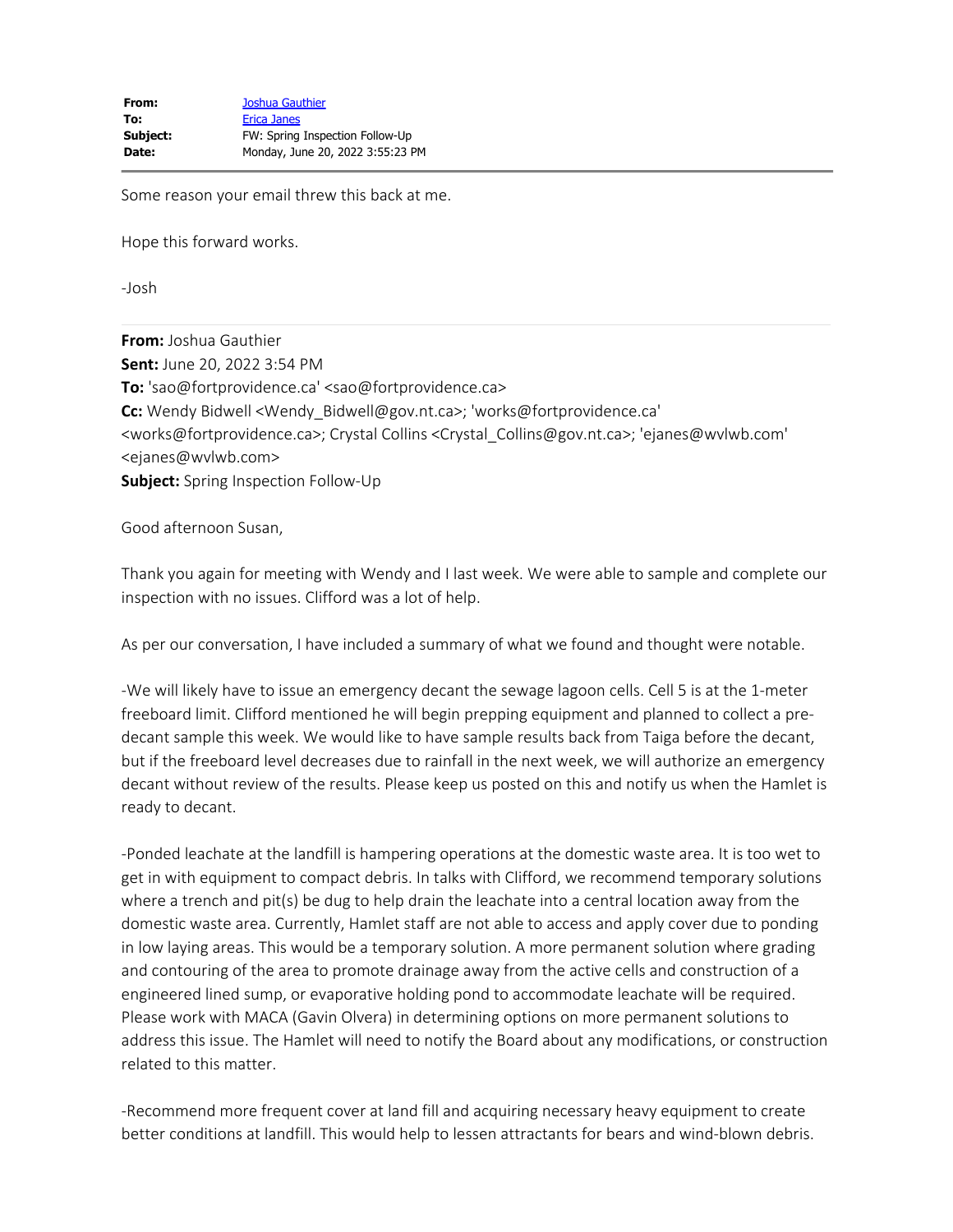Some reason your email threw this back at me.

Hope this forward works.

-Josh

**From:** Joshua Gauthier **Sent:** June 20, 2022 3:54 PM **To:** 'sao@fortprovidence.ca' <sao@fortprovidence.ca> **Cc:** Wendy Bidwell <Wendy\_Bidwell@gov.nt.ca>; 'works@fortprovidence.ca' <works@fortprovidence.ca>; Crystal Collins <Crystal\_Collins@gov.nt.ca>; 'ejanes@wvlwb.com' <ejanes@wvlwb.com> **Subject:** Spring Inspection Follow-Up

Good afternoon Susan,

Thank you again for meeting with Wendy and I last week. We were able to sample and complete our inspection with no issues. Clifford was a lot of help.

As per our conversation, I have included a summary of what we found and thought were notable.

-We will likely have to issue an emergency decant the sewage lagoon cells. Cell 5 is at the 1-meter freeboard limit. Clifford mentioned he will begin prepping equipment and planned to collect a predecant sample this week. We would like to have sample results back from Taiga before the decant, but if the freeboard level decreases due to rainfall in the next week, we will authorize an emergency decant without review of the results. Please keep us posted on this and notify us when the Hamlet is ready to decant.

-Ponded leachate at the landfill is hampering operations at the domestic waste area. It is too wet to get in with equipment to compact debris. In talks with Clifford, we recommend temporary solutions where a trench and pit(s) be dug to help drain the leachate into a central location away from the domestic waste area. Currently, Hamlet staff are not able to access and apply cover due to ponding in low laying areas. This would be a temporary solution. A more permanent solution where grading and contouring of the area to promote drainage away from the active cells and construction of a engineered lined sump, or evaporative holding pond to accommodate leachate will be required. Please work with MACA (Gavin Olvera) in determining options on more permanent solutions to address this issue. The Hamlet will need to notify the Board about any modifications, or construction related to this matter.

-Recommend more frequent cover at land fill and acquiring necessary heavy equipment to create better conditions at landfill. This would help to lessen attractants for bears and wind-blown debris.